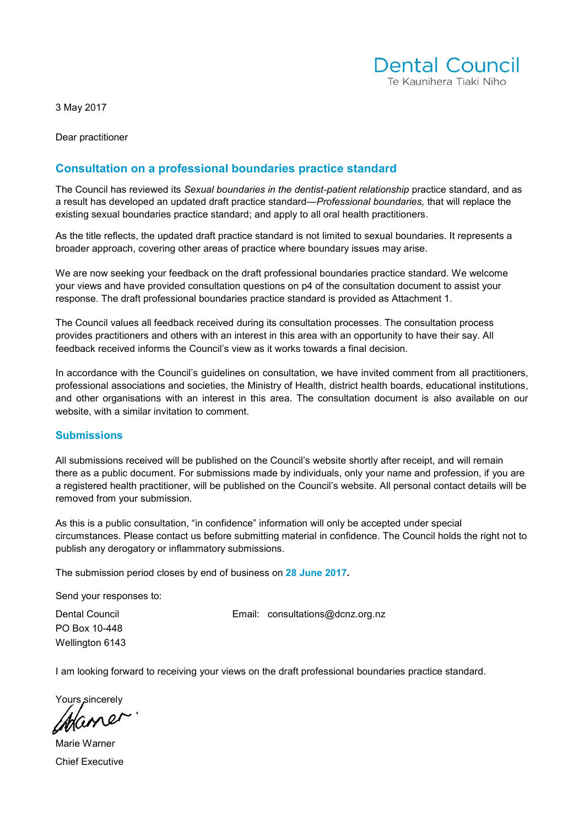

3 May 2017

Dear practitioner

## **Consultation on a professional boundaries practice standard**

The Council has reviewed its *Sexual boundaries in the dentist-patient relationship* practice standard, and as a result has developed an updated draft practice standard—*Professional boundaries,* that will replace the existing sexual boundaries practice standard; and apply to all oral health practitioners.

As the title reflects, the updated draft practice standard is not limited to sexual boundaries. It represents a broader approach, covering other areas of practice where boundary issues may arise.

We are now seeking your feedback on the draft professional boundaries practice standard. We welcome your views and have provided consultation questions on p4 of the consultation document to assist your response. The draft professional boundaries practice standard is provided as Attachment 1.

The Council values all feedback received during its consultation processes. The consultation process provides practitioners and others with an interest in this area with an opportunity to have their say. All feedback received informs the Council's view as it works towards a final decision.

In accordance with the Council's guidelines on consultation, we have invited comment from all practitioners, professional associations and societies, the Ministry of Health, district health boards, educational institutions, and other organisations with an interest in this area. The consultation document is also available on our website, with a similar invitation to comment.

#### **Submissions**

All submissions received will be published on the Council's website shortly after receipt, and will remain there as a public document. For submissions made by individuals, only your name and profession, if you are a registered health practitioner, will be published on the Council's website. All personal contact details will be removed from your submission.

As this is a public consultation, "in confidence" information will only be accepted under special circumstances. Please contact us before submitting material in confidence. The Council holds the right not to publish any derogatory or inflammatory submissions.

The submission period closes by end of business on **28 June 2017.** 

Send your responses to:

PO Box 10-448 Wellington 6143

Dental Council **Email:** [consultations@dcnz.org.nz](mailto:consultations@dcnz.org.nz)

I am looking forward to receiving your views on the draft professional boundaries practice standard.

Yours sincerely

Marie Warner Chief Executive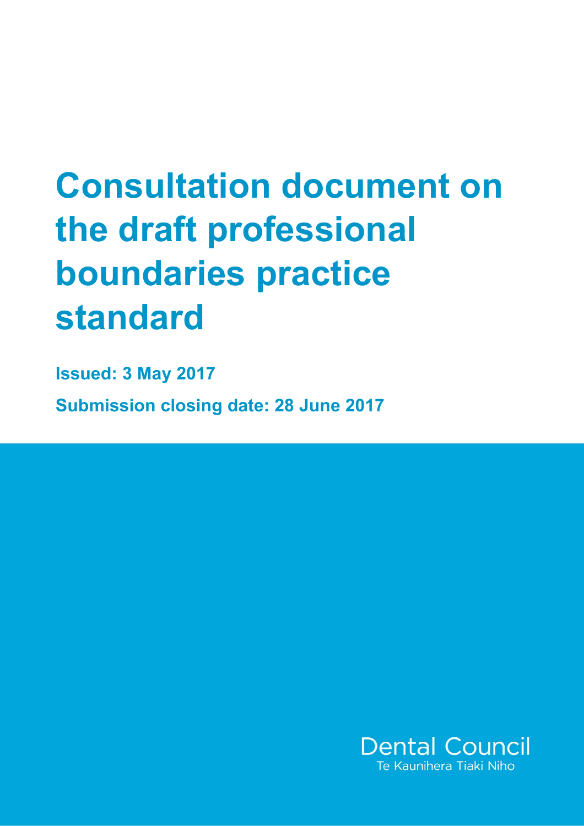# **Consultation document on the draft professional boundaries practice standard**

**Issued: 3 May 2017 Submission closing date: 28 June 2017**

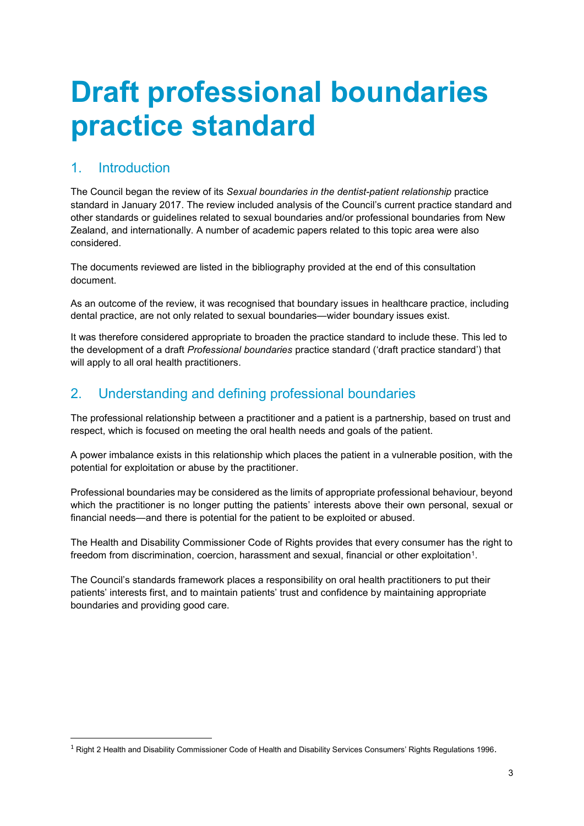## **Draft professional boundaries practice standard**

## 1. Introduction

**.** 

The Council began the review of its *Sexual boundaries in the dentist-patient relationship* practice standard in January 2017. The review included analysis of the Council's current practice standard and other standards or guidelines related to sexual boundaries and/or professional boundaries from New Zealand, and internationally. A number of academic papers related to this topic area were also considered.

The documents reviewed are listed in the bibliography provided at the end of this consultation document.

As an outcome of the review, it was recognised that boundary issues in healthcare practice, including dental practice, are not only related to sexual boundaries—wider boundary issues exist.

It was therefore considered appropriate to broaden the practice standard to include these. This led to the development of a draft *Professional boundaries* practice standard ('draft practice standard') that will apply to all oral health practitioners.

## 2. Understanding and defining professional boundaries

The professional relationship between a practitioner and a patient is a partnership, based on trust and respect, which is focused on meeting the oral health needs and goals of the patient.

A power imbalance exists in this relationship which places the patient in a vulnerable position, with the potential for exploitation or abuse by the practitioner.

Professional boundaries may be considered as the limits of appropriate professional behaviour, beyond which the practitioner is no longer putting the patients' interests above their own personal, sexual or financial needs—and there is potential for the patient to be exploited or abused.

The Health and Disability Commissioner Code of Rights provides that every consumer has the right to freedom from discrimination, coercion, harassment and sexual, financial or other exploitation<sup>1</sup>.

The Council's standards framework places a responsibility on oral health practitioners to put their patients' interests first, and to maintain patients' trust and confidence by maintaining appropriate boundaries and providing good care.

 $1$  Right 2 Health and Disability Commissioner Code of Health and Disability Services Consumers' Rights Regulations 1996.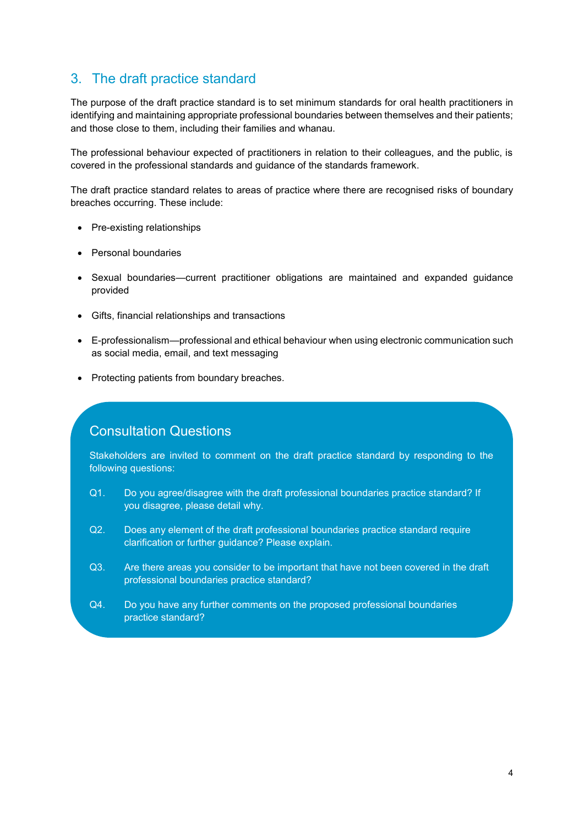## 3. The draft practice standard

The purpose of the draft practice standard is to set minimum standards for oral health practitioners in identifying and maintaining appropriate professional boundaries between themselves and their patients; and those close to them, including their families and whanau.

The professional behaviour expected of practitioners in relation to their colleagues, and the public, is covered in the professional standards and guidance of the standards framework.

The draft practice standard relates to areas of practice where there are recognised risks of boundary breaches occurring. These include:

- Pre-existing relationships
- Personal boundaries
- Sexual boundaries—current practitioner obligations are maintained and expanded guidance provided
- Gifts, financial relationships and transactions
- E-professionalism—professional and ethical behaviour when using electronic communication such as social media, email, and text messaging
- Protecting patients from boundary breaches.

## Consultation Questions

Stakeholders are invited to comment on the draft practice standard by responding to the following questions:

- Q1. Do you agree/disagree with the draft professional boundaries practice standard? If you disagree, please detail why.
- Q2. Does any element of the draft professional boundaries practice standard require clarification or further guidance? Please explain.
- Q3. Are there areas you consider to be important that have not been covered in the draft professional boundaries practice standard?
- Q4. Do you have any further comments on the proposed professional boundaries practice standard?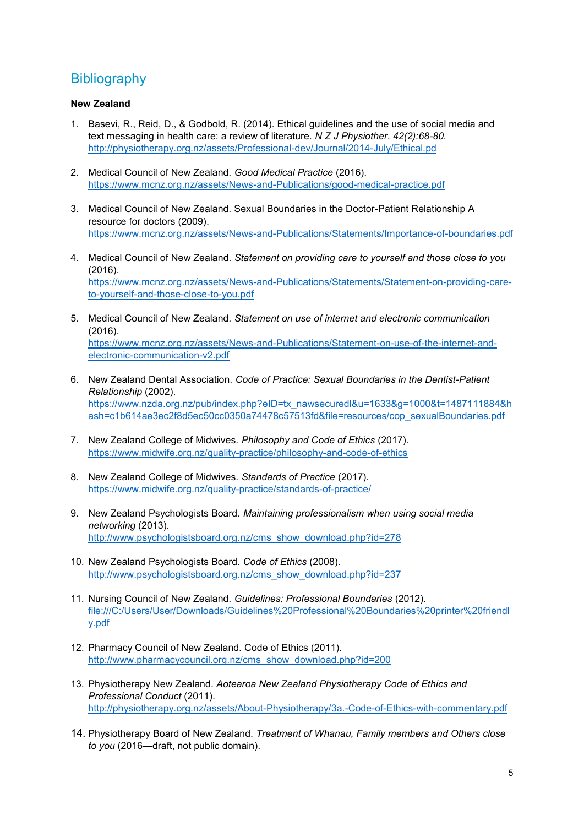## **Bibliography**

### **New Zealand**

- 1. Basevi, R., Reid, D., & Godbold, R. (2014). Ethical guidelines and the use of social media and text messaging in health care: a review of literature. *N Z J Physiother*. *42(2):68-80.* <http://physiotherapy.org.nz/assets/Professional-dev/Journal/2014-July/Ethical.pd>
- 2. Medical Council of New Zealand. *Good Medical Practice* (2016). <https://www.mcnz.org.nz/assets/News-and-Publications/good-medical-practice.pdf>
- 3. Medical Council of New Zealand. Sexual Boundaries in the Doctor-Patient Relationship A resource for doctors (2009). <https://www.mcnz.org.nz/assets/News-and-Publications/Statements/Importance-of-boundaries.pdf>
- 4. Medical Council of New Zealand. *Statement on providing care to yourself and those close to you* (2016). [https://www.mcnz.org.nz/assets/News-and-Publications/Statements/Statement-on-providing-care](https://www.mcnz.org.nz/assets/News-and-Publications/Statements/Statement-on-providing-care-to-yourself-and-those-close-to-you.pdf)[to-yourself-and-those-close-to-you.pdf](https://www.mcnz.org.nz/assets/News-and-Publications/Statements/Statement-on-providing-care-to-yourself-and-those-close-to-you.pdf)
- 5. Medical Council of New Zealand. *Statement on use of internet and electronic communication* (2016). [https://www.mcnz.org.nz/assets/News-and-Publications/Statement-on-use-of-the-internet-and](https://www.mcnz.org.nz/assets/News-and-Publications/Statement-on-use-of-the-internet-and-electronic-communication-v2.pdf)[electronic-communication-v2.pdf](https://www.mcnz.org.nz/assets/News-and-Publications/Statement-on-use-of-the-internet-and-electronic-communication-v2.pdf)
- 6. New Zealand Dental Association. *Code of Practice: Sexual Boundaries in the Dentist-Patient Relationship* (2002). [https://www.nzda.org.nz/pub/index.php?eID=tx\\_nawsecuredl&u=1633&g=1000&t=1487111884&h](https://www.nzda.org.nz/pub/index.php?eID=tx_nawsecuredl&u=1633&g=1000&t=1487111884&hash=c1b614ae3ec2f8d5ec50cc0350a74478c57513fd&file=resources/cop_sexualBoundaries.pdf) [ash=c1b614ae3ec2f8d5ec50cc0350a74478c57513fd&file=resources/cop\\_sexualBoundaries.pdf](https://www.nzda.org.nz/pub/index.php?eID=tx_nawsecuredl&u=1633&g=1000&t=1487111884&hash=c1b614ae3ec2f8d5ec50cc0350a74478c57513fd&file=resources/cop_sexualBoundaries.pdf)
- 7. New Zealand College of Midwives. *Philosophy and Code of Ethics* (2017). <https://www.midwife.org.nz/quality-practice/philosophy-and-code-of-ethics>
- 8. New Zealand College of Midwives. *Standards of Practice* (2017). <https://www.midwife.org.nz/quality-practice/standards-of-practice/>
- 9. New Zealand Psychologists Board. *Maintaining professionalism when using social media networking* (2013). [http://www.psychologistsboard.org.nz/cms\\_show\\_download.php?id=278](http://www.psychologistsboard.org.nz/cms_show_download.php?id=278)
- 10. New Zealand Psychologists Board. *Code of Ethics* (2008). [http://www.psychologistsboard.org.nz/cms\\_show\\_download.php?id=237](http://www.psychologistsboard.org.nz/cms_show_download.php?id=237)
- 11. Nursing Council of New Zealand. *Guidelines: Professional Boundaries* (2012). [file:///C:/Users/User/Downloads/Guidelines%20Professional%20Boundaries%20printer%20friendl](file:///C:/Users/User/Downloads/Guidelines%20Professional%20Boundaries%20printer%20friendly.pdf) [y.pdf](file:///C:/Users/User/Downloads/Guidelines%20Professional%20Boundaries%20printer%20friendly.pdf)
- 12. Pharmacy Council of New Zealand. Code of Ethics (2011). [http://www.pharmacycouncil.org.nz/cms\\_show\\_download.php?id=200](http://www.pharmacycouncil.org.nz/cms_show_download.php?id=200)
- 13. Physiotherapy New Zealand. *Aotearoa New Zealand Physiotherapy Code of Ethics and Professional Conduct* (2011). <http://physiotherapy.org.nz/assets/About-Physiotherapy/3a.-Code-of-Ethics-with-commentary.pdf>
- 14. Physiotherapy Board of New Zealand. *Treatment of Whanau, Family members and Others close to you* (2016—draft, not public domain).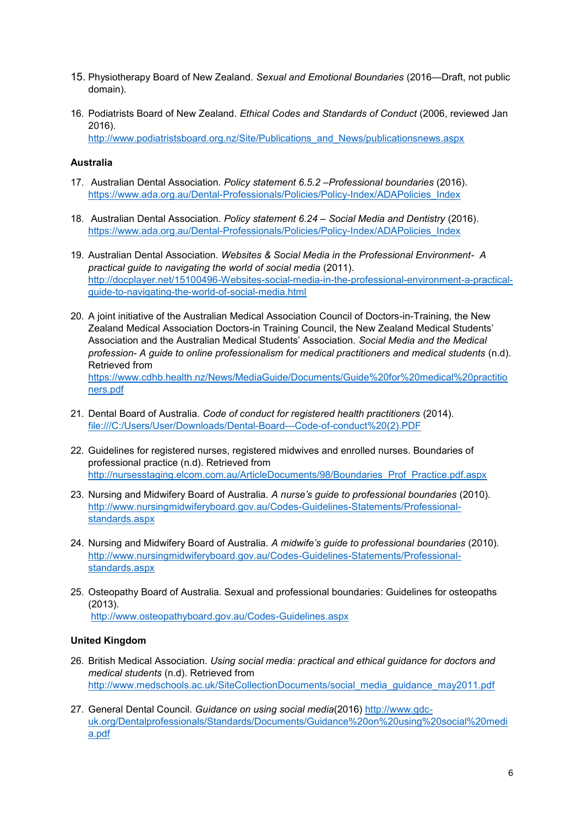- 15. Physiotherapy Board of New Zealand. *Sexual and Emotional Boundaries* (2016—Draft, not public domain).
- 16. Podiatrists Board of New Zealand. *Ethical Codes and Standards of Conduct* (2006, reviewed Jan 2016). [http://www.podiatristsboard.org.nz/Site/Publications\\_and\\_News/publicationsnews.aspx](http://www.podiatristsboard.org.nz/Site/Publications_and_News/publicationsnews.aspx)

**Australia** 

- 17. Australian Dental Association. *Policy statement 6.5.2 –Professional boundaries* (2016). [https://www.ada.org.au/Dental-Professionals/Policies/Policy-Index/ADAPolicies\\_Index](https://www.ada.org.au/Dental-Professionals/Policies/Policy-Index/ADAPolicies_Index)
- 18. Australian Dental Association. *Policy statement 6.24 – Social Media and Dentistry* (2016). [https://www.ada.org.au/Dental-Professionals/Policies/Policy-Index/ADAPolicies\\_Index](https://www.ada.org.au/Dental-Professionals/Policies/Policy-Index/ADAPolicies_Index)
- 19. Australian Dental Association. *Websites & Social Media in the Professional Environment- A practical guide to navigating the world of social media* (2011). [http://docplayer.net/15100496-Websites-social-media-in-the-professional-environment-a-practical](http://docplayer.net/15100496-Websites-social-media-in-the-professional-environment-a-practical-guide-to-navigating-the-world-of-social-media.html)[guide-to-navigating-the-world-of-social-media.html](http://docplayer.net/15100496-Websites-social-media-in-the-professional-environment-a-practical-guide-to-navigating-the-world-of-social-media.html)
- 20. A joint initiative of the Australian Medical Association Council of Doctors-in-Training, the New Zealand Medical Association Doctors-in Training Council, the New Zealand Medical Students' Association and the Australian Medical Students' Association. *Social Media and the Medical profession- A guide to online professionalism for medical practitioners and medical students* (n.d). Retrieved from [https://www.cdhb.health.nz/News/MediaGuide/Documents/Guide%20for%20medical%20practitio](https://www.cdhb.health.nz/News/MediaGuide/Documents/Guide%20for%20medical%20practitioners.pdf) [ners.pdf](https://www.cdhb.health.nz/News/MediaGuide/Documents/Guide%20for%20medical%20practitioners.pdf)
- 21. Dental Board of Australia. *Code of conduct for registered health practitioners* (2014). [file:///C:/Users/User/Downloads/Dental-Board---Code-of-conduct%20\(2\).PDF](file:///C:/Users/User/Downloads/Dental-Board---Code-of-conduct%20(2).PDF)
- 22. Guidelines for registered nurses, registered midwives and enrolled nurses. Boundaries of professional practice (n.d). Retrieved from [http://nursesstaging.elcom.com.au/ArticleDocuments/98/Boundaries\\_Prof\\_Practice.pdf.aspx](http://nursesstaging.elcom.com.au/ArticleDocuments/98/Boundaries_Prof_Practice.pdf.aspx)
- 23. Nursing and Midwifery Board of Australia. *A nurse's guide to professional boundaries* (2010)*.*  [http://www.nursingmidwiferyboard.gov.au/Codes-Guidelines-Statements/Professional](http://www.nursingmidwiferyboard.gov.au/Codes-Guidelines-Statements/Professional-standards.aspx)[standards.aspx](http://www.nursingmidwiferyboard.gov.au/Codes-Guidelines-Statements/Professional-standards.aspx)
- 24. Nursing and Midwifery Board of Australia. *A midwife's guide to professional boundaries* (2010)*.*  [http://www.nursingmidwiferyboard.gov.au/Codes-Guidelines-Statements/Professional](http://www.nursingmidwiferyboard.gov.au/Codes-Guidelines-Statements/Professional-standards.aspx)[standards.aspx](http://www.nursingmidwiferyboard.gov.au/Codes-Guidelines-Statements/Professional-standards.aspx)
- 25. Osteopathy Board of Australia. Sexual and professional boundaries: Guidelines for osteopaths (2013). <http://www.osteopathyboard.gov.au/Codes-Guidelines.aspx>

#### **United Kingdom**

- 26. British Medical Association. *Using social media: practical and ethical guidance for doctors and medical students* (n.d). Retrieved from [http://www.medschools.ac.uk/SiteCollectionDocuments/social\\_media\\_guidance\\_may2011.pdf](http://www.medschools.ac.uk/SiteCollectionDocuments/social_media_guidance_may2011.pdf)
- 27. General Dental Council. *Guidance on using social media*(2016) [http://www.gdc](http://www.gdc-uk.org/Dentalprofessionals/Standards/Documents/Guidance%20on%20using%20social%20media.pdf)[uk.org/Dentalprofessionals/Standards/Documents/Guidance%20on%20using%20social%20medi](http://www.gdc-uk.org/Dentalprofessionals/Standards/Documents/Guidance%20on%20using%20social%20media.pdf) [a.pdf](http://www.gdc-uk.org/Dentalprofessionals/Standards/Documents/Guidance%20on%20using%20social%20media.pdf)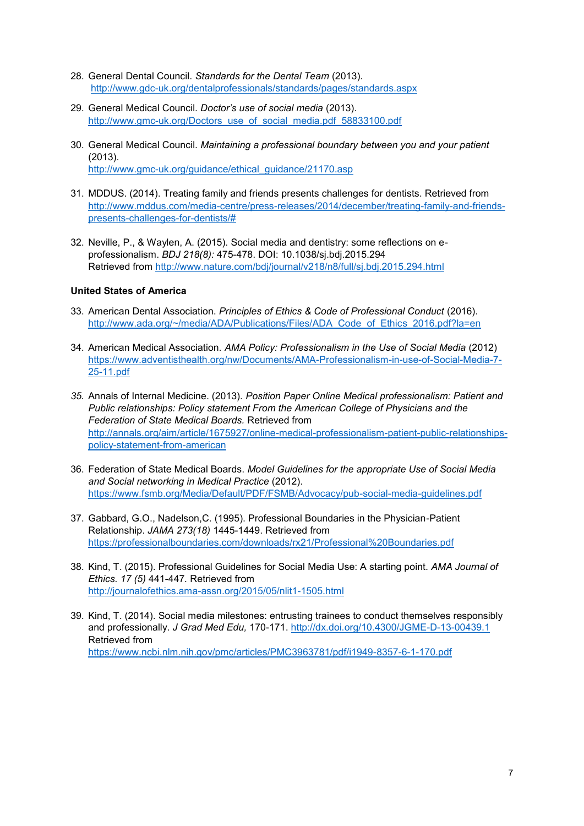- 28. General Dental Council. *Standards for the Dental Team* (2013). <http://www.gdc-uk.org/dentalprofessionals/standards/pages/standards.aspx>
- 29. General Medical Council. *Doctor's use of social media* (2013). [http://www.gmc-uk.org/Doctors\\_use\\_of\\_social\\_media.pdf\\_58833100.pdf](http://www.gmc-uk.org/Doctors_use_of_social_media.pdf_58833100.pdf)
- 30. General Medical Council. *Maintaining a professional boundary between you and your patient* (2013). [http://www.gmc-uk.org/guidance/ethical\\_guidance/21170.asp](http://www.gmc-uk.org/guidance/ethical_guidance/21170.asp)
- 31. MDDUS. (2014). Treating family and friends presents challenges for dentists. Retrieved from [http://www.mddus.com/media-centre/press-releases/2014/december/treating-family-and-friends](http://www.mddus.com/media-centre/press-releases/2014/december/treating-family-and-friends-presents-challenges-for-dentists/)[presents-challenges-for-dentists/#](http://www.mddus.com/media-centre/press-releases/2014/december/treating-family-and-friends-presents-challenges-for-dentists/)
- 32. Neville, P., & Waylen, A. (2015). Social media and dentistry: some reflections on eprofessionalism. *BDJ 218(8):* 475-478. DOI: 10.1038/sj.bdj.2015.294 Retrieved from<http://www.nature.com/bdj/journal/v218/n8/full/sj.bdj.2015.294.html>

## **United States of America**

- 33. American Dental Association. *Principles of Ethics & Code of Professional Conduct* (2016). [http://www.ada.org/~/media/ADA/Publications/Files/ADA\\_Code\\_of\\_Ethics\\_2016.pdf?la=en](http://www.ada.org/~/media/ADA/Publications/Files/ADA_Code_of_Ethics_2016.pdf?la=en)
- 34. American Medical Association. *AMA Policy: Professionalism in the Use of Social Media* (2012) [https://www.adventisthealth.org/nw/Documents/AMA-Professionalism-in-use-of-Social-Media-7-](https://www.adventisthealth.org/nw/Documents/AMA-Professionalism-in-use-of-Social-Media-7-25-11.pdf) [25-11.pdf](https://www.adventisthealth.org/nw/Documents/AMA-Professionalism-in-use-of-Social-Media-7-25-11.pdf)
- *35.* Annals of Internal Medicine. (2013). *Position Paper Online Medical professionalism: Patient and Public relationships: Policy statement From the American College of Physicians and the Federation of State Medical Boards.* Retrieved from [http://annals.org/aim/article/1675927/online-medical-professionalism-patient-public-relationships](http://annals.org/aim/article/1675927/online-medical-professionalism-patient-public-relationships-policy-statement-from-american)[policy-statement-from-american](http://annals.org/aim/article/1675927/online-medical-professionalism-patient-public-relationships-policy-statement-from-american)
- 36. Federation of State Medical Boards. *Model Guidelines for the appropriate Use of Social Media and Social networking in Medical Practice* (2012). <https://www.fsmb.org/Media/Default/PDF/FSMB/Advocacy/pub-social-media-guidelines.pdf>
- 37. Gabbard, G.O., Nadelson,C. (1995). Professional Boundaries in the Physician-Patient Relationship. *JAMA 273(18)* 1445-1449. Retrieved from <https://professionalboundaries.com/downloads/rx21/Professional%20Boundaries.pdf>
- 38. Kind, T. (2015). Professional Guidelines for Social Media Use: A starting point. *AMA Journal of Ethics. 17 (5)* 441-447*.* Retrieved from <http://journalofethics.ama-assn.org/2015/05/nlit1-1505.html>
- 39. Kind, T. (2014). Social media milestones: entrusting trainees to conduct themselves responsibly and professionally. *J Grad Med Edu,* 170-171.<http://dx.doi.org/10.4300/JGME-D-13-00439.1> Retrieved from <https://www.ncbi.nlm.nih.gov/pmc/articles/PMC3963781/pdf/i1949-8357-6-1-170.pdf>